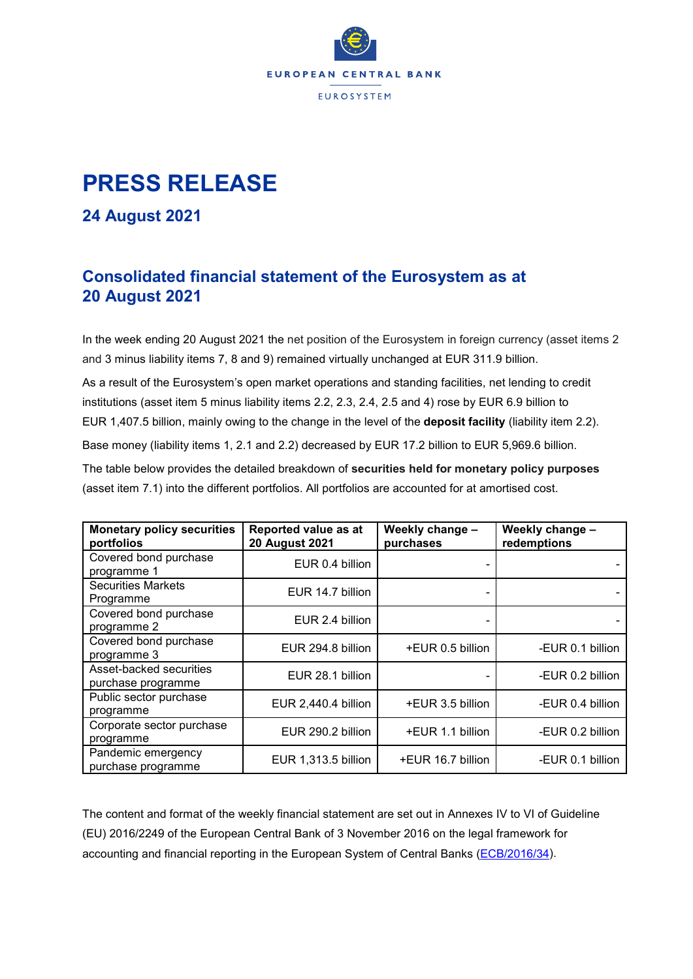

## **PRESS RELEASE**

## **24 August 2021**

## **Consolidated financial statement of the Eurosystem as at 20 August 2021**

In the week ending 20 August 2021 the net position of the Eurosystem in foreign currency (asset items 2 and 3 minus liability items 7, 8 and 9) remained virtually unchanged at EUR 311.9 billion.

As a result of the Eurosystem's open market operations and standing facilities, net lending to credit institutions (asset item 5 minus liability items 2.2, 2.3, 2.4, 2.5 and 4) rose by EUR 6.9 billion to EUR 1,407.5 billion, mainly owing to the change in the level of the **deposit facility** (liability item 2.2). Base money (liability items 1, 2.1 and 2.2) decreased by EUR 17.2 billion to EUR 5,969.6 billion. The table below provides the detailed breakdown of **securities held for monetary policy purposes** (asset item 7.1) into the different portfolios. All portfolios are accounted for at amortised cost.

| <b>Monetary policy securities</b><br>portfolios | Reported value as at<br><b>20 August 2021</b> | Weekly change -<br>purchases | Weekly change -<br>redemptions |
|-------------------------------------------------|-----------------------------------------------|------------------------------|--------------------------------|
| Covered bond purchase<br>programme 1            | EUR 0.4 billion                               |                              |                                |
| <b>Securities Markets</b><br>Programme          | EUR 14.7 billion                              |                              |                                |
| Covered bond purchase<br>programme 2            | EUR 2.4 billion                               |                              |                                |
| Covered bond purchase<br>programme 3            | EUR 294.8 billion                             | +EUR 0.5 billion             | -EUR 0.1 billion               |
| Asset-backed securities<br>purchase programme   | EUR 28.1 billion                              |                              | -EUR 0.2 billion               |
| Public sector purchase<br>programme             | EUR 2,440.4 billion                           | +EUR 3.5 billion             | -EUR 0.4 billion               |
| Corporate sector purchase<br>programme          | EUR 290.2 billion                             | +EUR 1.1 billion             | -EUR 0.2 billion               |
| Pandemic emergency<br>purchase programme        | EUR 1,313.5 billion                           | +EUR 16.7 billion            | -EUR 0.1 billion               |

The content and format of the weekly financial statement are set out in Annexes IV to VI of Guideline (EU) 2016/2249 of the European Central Bank of 3 November 2016 on the legal framework for accounting and financial reporting in the European System of Central Banks [\(ECB/2016/34\)](https://eur-lex.europa.eu/legal-content/EN/TXT/?qid=1599130224518&uri=CELEX:32016O0034).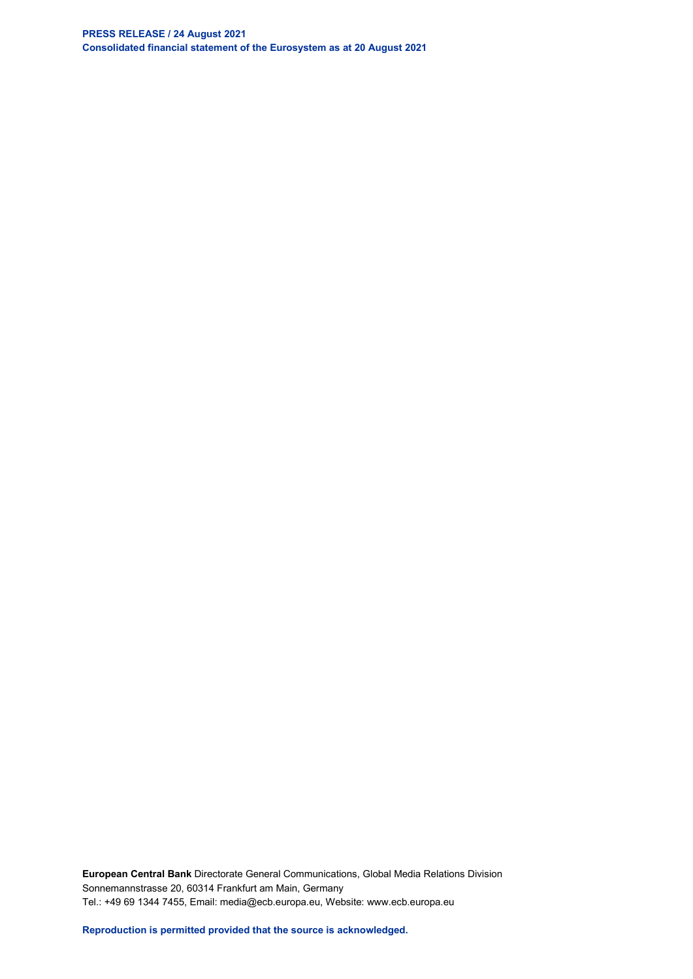**PRESS RELEASE / 24 August 2021 Consolidated financial statement of the Eurosystem as at 20 August 2021**

**European Central Bank** Directorate General Communications, Global Media Relations Division Sonnemannstrasse 20, 60314 Frankfurt am Main, Germany Tel.: +49 69 1344 7455, Email: media@ecb.europa.eu, Website: www.ecb.europa.eu